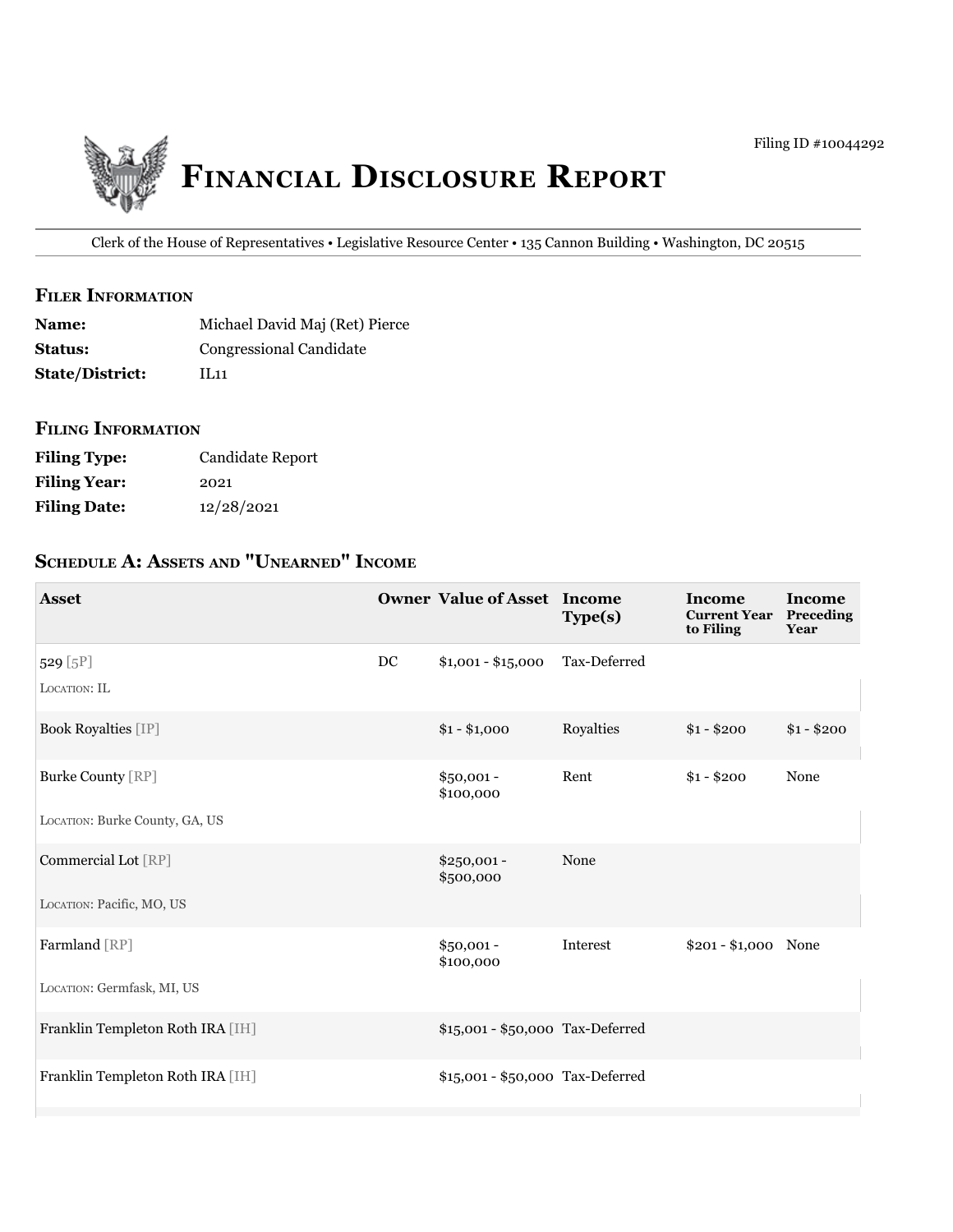

Clerk of the House of Representatives • Legislative Resource Center • 135 Cannon Building • Washington, DC 20515

## **filer information**

| <b>Name:</b>           | Michael David Maj (Ret) Pierce |
|------------------------|--------------------------------|
| <b>Status:</b>         | Congressional Candidate        |
| <b>State/District:</b> | 1L11                           |

### **filing information**

| <b>Filing Type:</b> | Candidate Report |
|---------------------|------------------|
| <b>Filing Year:</b> | 2021             |
| <b>Filing Date:</b> | 12/28/2021       |

# **ScheDule a: aSSetS anD "unearneD" income**

| <b>Asset</b>                     |    | <b>Owner Value of Asset Income</b> | Type(s)      | Income<br><b>Current Year</b><br>to Filing | <b>Income</b><br>Preceding<br>Year |
|----------------------------------|----|------------------------------------|--------------|--------------------------------------------|------------------------------------|
| 529 [5P]<br>LOCATION: IL         | DC | $$1,001 - $15,000$                 | Tax-Deferred |                                            |                                    |
|                                  |    |                                    |              |                                            |                                    |
| <b>Book Royalties [IP]</b>       |    | $$1 - $1,000$                      | Royalties    | $$1 - $200$                                | $$1 - $200$                        |
| <b>Burke County [RP]</b>         |    | $$50,001 -$<br>\$100,000           | Rent         | $$1 - $200$                                | None                               |
| LOCATION: Burke County, GA, US   |    |                                    |              |                                            |                                    |
| Commercial Lot [RP]              |    | $$250,001 -$<br>\$500,000          | None         |                                            |                                    |
| LOCATION: Pacific, MO, US        |    |                                    |              |                                            |                                    |
| Farmland [RP]                    |    | $$50,001 -$<br>\$100,000           | Interest     | $$201 - $1,000$ None                       |                                    |
| LOCATION: Germfask, MI, US       |    |                                    |              |                                            |                                    |
| Franklin Templeton Roth IRA [IH] |    | \$15,001 - \$50,000 Tax-Deferred   |              |                                            |                                    |
| Franklin Templeton Roth IRA [IH] |    | \$15,001 - \$50,000 Tax-Deferred   |              |                                            |                                    |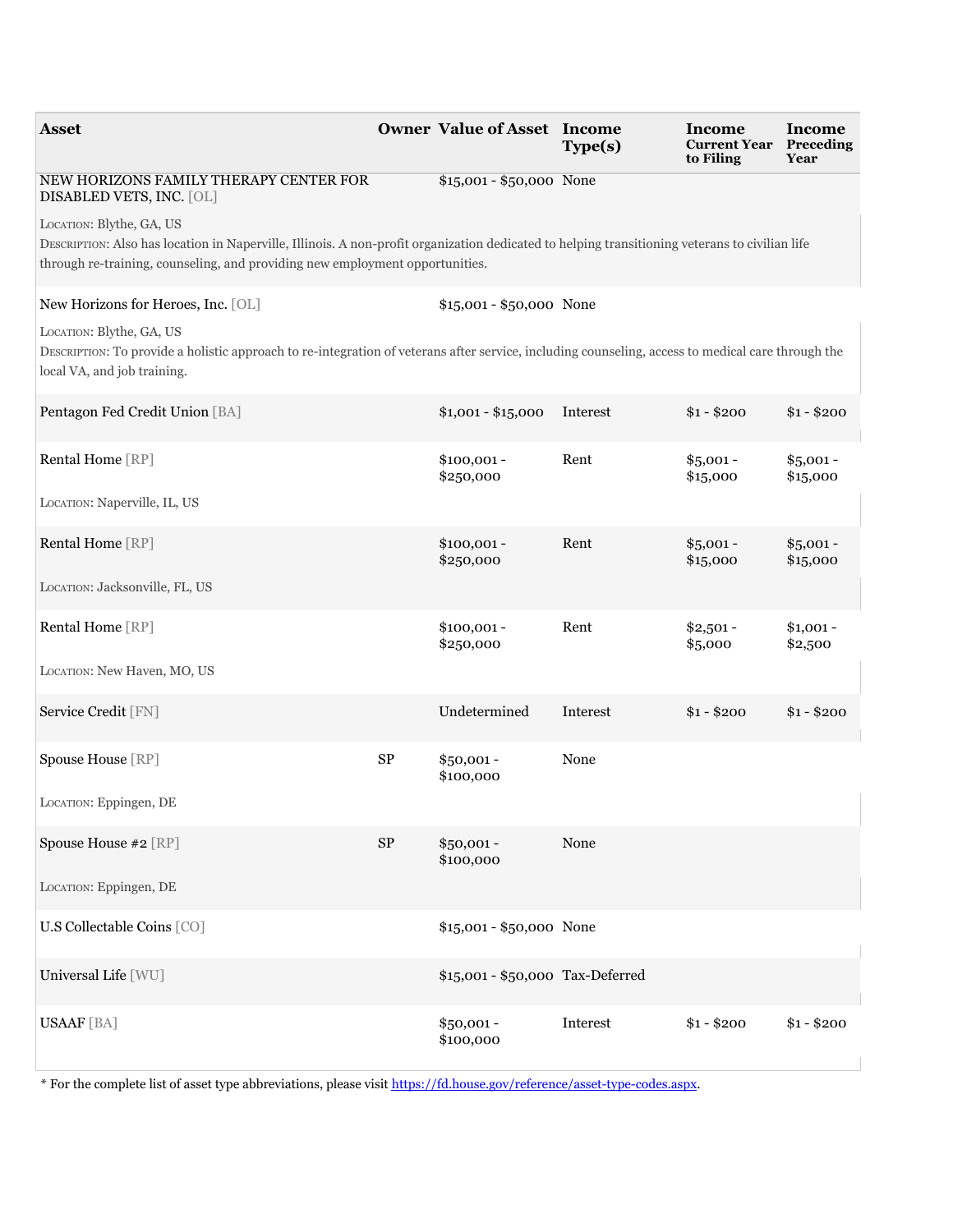| <b>Asset</b>                                                                                                                                                                                                                                               |            | <b>Owner Value of Asset Income</b> | Type(s)  | Income<br><b>Current Year</b><br>to Filing | Income<br>Preceding<br>Year |
|------------------------------------------------------------------------------------------------------------------------------------------------------------------------------------------------------------------------------------------------------------|------------|------------------------------------|----------|--------------------------------------------|-----------------------------|
| NEW HORIZONS FAMILY THERAPY CENTER FOR<br>DISABLED VETS, INC. [OL]                                                                                                                                                                                         |            | $$15,001 - $50,000$ None           |          |                                            |                             |
| LOCATION: Blythe, GA, US<br>DESCRIPTION: Also has location in Naperville, Illinois. A non-profit organization dedicated to helping transitioning veterans to civilian life<br>through re-training, counseling, and providing new employment opportunities. |            |                                    |          |                                            |                             |
| New Horizons for Heroes, Inc. [OL]                                                                                                                                                                                                                         |            | \$15,001 - \$50,000 None           |          |                                            |                             |
| LOCATION: Blythe, GA, US<br>DESCRIPTION: To provide a holistic approach to re-integration of veterans after service, including counseling, access to medical care through the<br>local VA, and job training.                                               |            |                                    |          |                                            |                             |
| Pentagon Fed Credit Union [BA]                                                                                                                                                                                                                             |            | $$1,001 - $15,000$                 | Interest | $$1 - $200$                                | $$1 - $200$                 |
| Rental Home [RP]                                                                                                                                                                                                                                           |            | $$100,001 -$<br>\$250,000          | Rent     | $$5,001 -$<br>\$15,000                     | $$5,001 -$<br>\$15,000      |
| LOCATION: Naperville, IL, US                                                                                                                                                                                                                               |            |                                    |          |                                            |                             |
| Rental Home [RP]                                                                                                                                                                                                                                           |            | $$100,001 -$<br>\$250,000          | Rent     | $$5,001 -$<br>\$15,000                     | $$5,001 -$<br>\$15,000      |
| LOCATION: Jacksonville, FL, US                                                                                                                                                                                                                             |            |                                    |          |                                            |                             |
| Rental Home [RP]                                                                                                                                                                                                                                           |            | $$100,001 -$<br>\$250,000          | Rent     | $$2,501 -$<br>\$5,000                      | $$1,001 -$<br>\$2,500       |
| LOCATION: New Haven, MO, US                                                                                                                                                                                                                                |            |                                    |          |                                            |                             |
| Service Credit [FN]                                                                                                                                                                                                                                        |            | Undetermined                       | Interest | $$1 - $200$                                | $$1 - $200$                 |
| Spouse House [RP]                                                                                                                                                                                                                                          | ${\rm SP}$ | $$50,001 -$<br>\$100,000           | None     |                                            |                             |
| LOCATION: Eppingen, DE                                                                                                                                                                                                                                     |            |                                    |          |                                            |                             |
| Spouse House #2 [RP]                                                                                                                                                                                                                                       | $\rm SP$   | $$50,001 -$<br>\$100,000           | None     |                                            |                             |
| LOCATION: Eppingen, DE                                                                                                                                                                                                                                     |            |                                    |          |                                            |                             |
| U.S Collectable Coins [CO]                                                                                                                                                                                                                                 |            | \$15,001 - \$50,000 None           |          |                                            |                             |
| Universal Life [WU]                                                                                                                                                                                                                                        |            | \$15,001 - \$50,000 Tax-Deferred   |          |                                            |                             |
| <b>USAAF</b> [BA]                                                                                                                                                                                                                                          |            | $$50,001 -$<br>\$100,000           | Interest | $$1 - $200$                                | $$1 - $200$                 |

\* For the complete list of asset type abbreviations, please visit<https://fd.house.gov/reference/asset-type-codes.aspx>.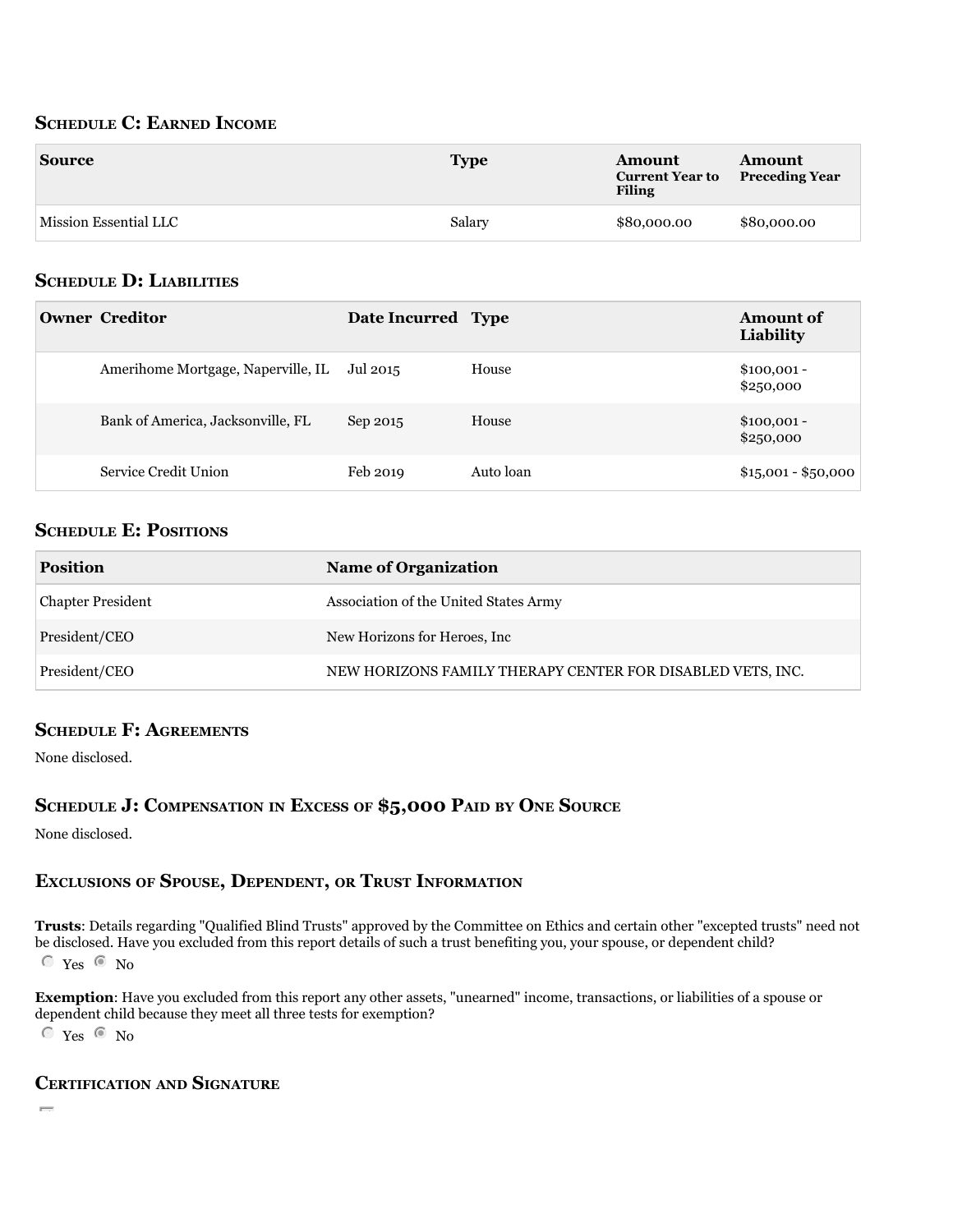## **ScheDule c: earneD income**

| <b>Source</b>         | <b>Type</b> | Amount<br><b>Current Year to</b><br><b>Filing</b> | Amount<br><b>Preceding Year</b> |
|-----------------------|-------------|---------------------------------------------------|---------------------------------|
| Mission Essential LLC | Salary      | \$80,000.00                                       | \$80,000.00                     |

## **ScheDule D: liabilitieS**

| <b>Owner Creditor</b>                       | Date Incurred Type |           | <b>Amount of</b><br>Liability |
|---------------------------------------------|--------------------|-----------|-------------------------------|
| Amerihome Mortgage, Naperville, IL Jul 2015 |                    | House     | $$100,001 -$<br>\$250,000     |
| Bank of America, Jacksonville, FL           | Sep 2015           | House     | $$100,001 -$<br>\$250,000     |
| Service Credit Union                        | Feb 2019           | Auto loan | $$15,001 - $50,000$           |

## **SCHEDULE E: POSITIONS**

| <b>Position</b>          | <b>Name of Organization</b>                                |
|--------------------------|------------------------------------------------------------|
| <b>Chapter President</b> | Association of the United States Army                      |
| President/CEO            | New Horizons for Heroes, Inc.                              |
| President/CEO            | NEW HORIZONS FAMILY THERAPY CENTER FOR DISABLED VETS, INC. |

## **ScheDule f: agreementS**

None disclosed.

## **ScheDule J: compenSation in exceSS of \$5,000 paiD by one Source**

None disclosed.

## **excluSionS of SpouSe, DepenDent, or truSt information**

**trusts**: Details regarding "Qualified Blind Trusts" approved by the Committee on Ethics and certain other "excepted trusts" need not be disclosed. Have you excluded from this report details of such a trust benefiting you, your spouse, or dependent child?  $\degree$  Yes  $\degree$  No

**exemption**: Have you excluded from this report any other assets, "unearned" income, transactions, or liabilities of a spouse or dependent child because they meet all three tests for exemption?

 $\degree$  Yes  $\degree$  No

## **certification anD Signature**

gfed $\Gamma$  certify that that the statements I have made on the attached Financial Disclosure Report are true, complete, and complete, and complete, and correct to the attached Financial Disclosure Report are true, complete,